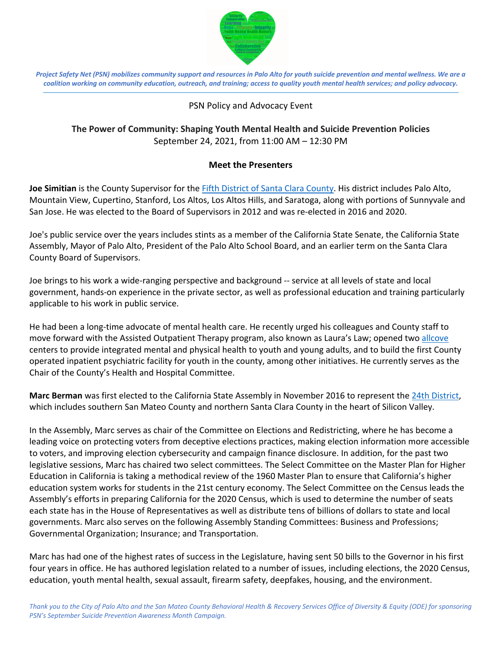

*Project Safety Net (PSN) mobilizes community support and resources in Palo Alto for youth suicide prevention and mental wellness. We are a coalition working on community education, outreach, and training; access to quality youth mental health services; and policy advocacy.*

## PSN Policy and Advocacy Event

## **The Power of Community: Shaping Youth Mental Health and Suicide Prevention Policies** September 24, 2021, from 11:00 AM – 12:30 PM

## **Meet the Presenters**

**Joe Simitian** is the County Supervisor for the Fifth District of Santa Clara County. His district includes Palo Alto, Mountain View, Cupertino, Stanford, Los Altos, Los Altos Hills, and Saratoga, along with portions of Sunnyvale and San Jose. He was elected to the Board of Supervisors in 2012 and was re-elected in 2016 and 2020.

Joe's public service over the years includes stints as a member of the California State Senate, the California State Assembly, Mayor of Palo Alto, President of the Palo Alto School Board, and an earlier term on the Santa Clara County Board of Supervisors.

Joe brings to his work a wide-ranging perspective and background -- service at all levels of state and local government, hands-on experience in the private sector, as well as professional education and training particularly applicable to his work in public service.

He had been a long-time advocate of mental health care. He recently urged his colleagues and County staff to move forward with the Assisted Outpatient Therapy program, also known as Laura's Law; opened two allcove centers to provide integrated mental and physical health to youth and young adults, and to build the first County operated inpatient psychiatric facility for youth in the county, among other initiatives. He currently serves as the Chair of the County's Health and Hospital Committee.

**Marc Berman** was first elected to the California State Assembly in November 2016 to represent the 24th District, which includes southern San Mateo County and northern Santa Clara County in the heart of Silicon Valley.

In the Assembly, Marc serves as chair of the Committee on Elections and Redistricting, where he has become a leading voice on protecting voters from deceptive elections practices, making election information more accessible to voters, and improving election cybersecurity and campaign finance disclosure. In addition, for the past two legislative sessions, Marc has chaired two select committees. The Select Committee on the Master Plan for Higher Education in California is taking a methodical review of the 1960 Master Plan to ensure that California's higher education system works for students in the 21st century economy. The Select Committee on the Census leads the Assembly's efforts in preparing California for the 2020 Census, which is used to determine the number of seats each state has in the House of Representatives as well as distribute tens of billions of dollars to state and local governments. Marc also serves on the following Assembly Standing Committees: Business and Professions; Governmental Organization; Insurance; and Transportation.

Marc has had one of the highest rates of success in the Legislature, having sent 50 bills to the Governor in his first four years in office. He has authored legislation related to a number of issues, including elections, the 2020 Census, education, youth mental health, sexual assault, firearm safety, deepfakes, housing, and the environment.